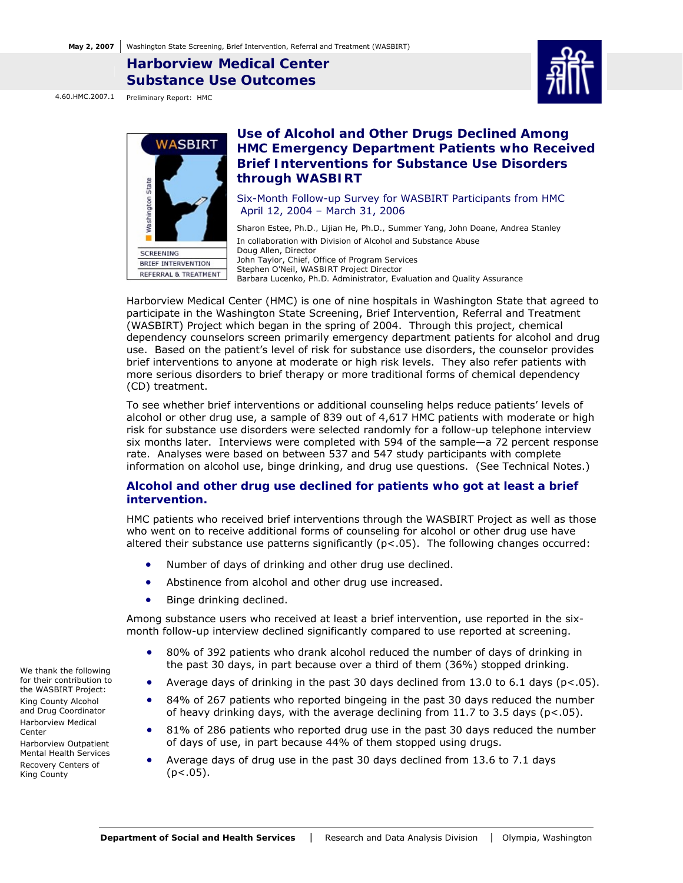# **Harborview Medical Center Substance Use Outcomes**



4.60.HMC.2007.1 Preliminary Report: HMC



# **Use of Alcohol and Other Drugs Declined Among HMC Emergency Department Patients who Received Brief Interventions for Substance Use Disorders through WASBIRT**

Six-Month Follow-up Survey for WASBIRT Participants from HMC April 12, 2004 – March 31, 2006

Sharon Estee, *Ph.D.,* Lijian He, *Ph.D.,* Summer Yang, John Doane, Andrea Stanley In collaboration with Division of Alcohol and Substance Abuse Doug Allen, *Director*  John Taylor, *Chief, Office of Program Services* Stephen O'Neil, *WASBIRT Project Director*  Barbara Lucenko, *Ph.D. Administrator, Evaluation and Quality Assurance*

Harborview Medical Center (HMC) is one of nine hospitals in Washington State that agreed to participate in the Washington State Screening, Brief Intervention, Referral and Treatment (WASBIRT) Project which began in the spring of 2004. Through this project, chemical dependency counselors screen primarily emergency department patients for alcohol and drug use. Based on the patient's level of risk for substance use disorders, the counselor provides brief interventions to anyone at moderate or high risk levels. They also refer patients with more serious disorders to brief therapy or more traditional forms of chemical dependency (CD) treatment.

To see whether brief interventions or additional counseling helps reduce patients' levels of alcohol or other drug use, a sample of 839 out of 4,617 HMC patients with moderate or high risk for substance use disorders were selected randomly for a follow-up telephone interview six months later. Interviews were completed with 594 of the sample—a 72 percent response rate. Analyses were based on between 537 and 547 study participants with complete information on alcohol use, binge drinking, and drug use questions. (See Technical Notes.)

### **Alcohol and other drug use declined for patients who got at least a brief intervention.**

HMC patients who received brief interventions through the WASBIRT Project as well as those who went on to receive additional forms of counseling for alcohol or other drug use have altered their substance use patterns significantly  $(p<.05)$ . The following changes occurred:

- Number of days of drinking and other drug use declined.
- Abstinence from alcohol and other drug use increased.
- Binge drinking declined.

Among substance users who received at least a brief intervention, use reported in the sixmonth follow-up interview declined significantly compared to use reported at screening.

- 80% of 392 patients who drank alcohol reduced the number of days of drinking in the past 30 days, in part because over a third of them (36%) stopped drinking.
- Average days of drinking in the past 30 days declined from 13.0 to 6.1 days ( $p < .05$ ).
- 84% of 267 patients who reported bingeing in the past 30 days reduced the number of heavy drinking days, with the average declining from  $11.7$  to  $3.5$  days ( $p$ <.05).
- 81% of 286 patients who reported drug use in the past 30 days reduced the number of days of use, in part because 44% of them stopped using drugs.
- Average days of drug use in the past 30 days declined from 13.6 to 7.1 days  $(p<.05)$ .

We thank the following for their contribution to the WASBIRT Project: King County Alcohol and Drug Coordinator Harborview Medical Center Harborview Outpatient

Mental Health Services Recovery Centers of King County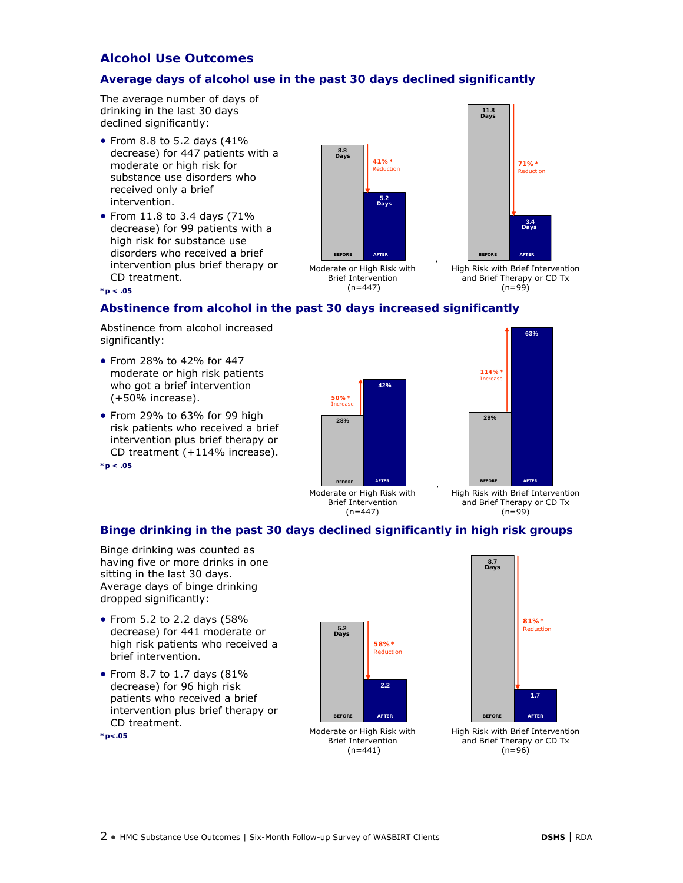# **Alcohol Use Outcomes**

# **Average days of alcohol use in the past 30 days declined significantly**

The average number of days of drinking in the last 30 days declined significantly:

- From 8.8 to 5.2 days (41% moderate or high risk for substance use disorders who decrease) for 447 patients with a received only a brief intervention.
- From 11.8 to 3.4 days (71% disorders who received a brief decrease) for 99 patients with a high risk for substance use CD treatment.



Brief Intervention  $(n=447)$ 

and Brief Therapy or CD Tx ) (n=99

(n=99)

## **Abstinence from alcohol in the past 30 days increased significantly**

Abstinence from alcohol increased significantly:

**\*p < .05**

- From 28% to 42% for 447 moderate or high risk patients who got a brief intervention (+50% increase).
- From 29% to 63% for 99 high intervention plus brief therapy or CD treatment (+114% increase). **\*p < .05** risk patients who received a brief



## **Binge drinking in the past 30 days declined significantly in high risk groups**

(n=447)

Binge drinking was counted as sitting in the last 30 days. Average days of binge drinking having five or more drinks in one dropped significantly:

- From 5.2 to 2.2 days (58% decrease) for 441 moderate or high risk patients who received a brief intervention.
- From 8.7 to 1.7 days (81% patients who received a brief intervention plus brief therapy or CD treatment. decrease) for 96 high risk

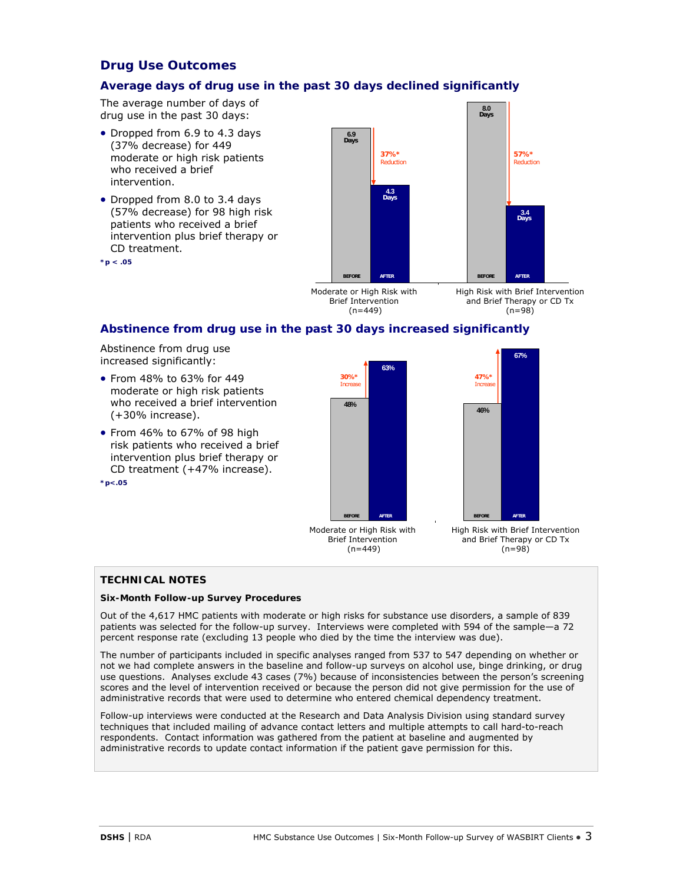# **Drug Use Outcomes**

## **Average days of drug use in the past 30 days declined significantly**

The average number of days of drug use in the past 30 days:

- Dropped from 6.9 to 4.3 days (37% decrease) for 449 moderate or high risk patients who received a brief intervention.
- Dropped from 8.0 to 3.4 days (57% decrease) for 98 high risk patients who received a brief intervention plus brief therapy or CD treatment.

**\*p < .05**



(n=98)

## **Abstinence from drug use in the past 30 days increased significantly**

 $(n=449)$ 

Abstinence from drug use increased significantly:

- From 48% to 63% for 449 moderate or high risk patients who received a brief intervention (+30% increase).
- From 46% to 67% of 98 high risk patients who received a brief intervention plus brief therapy or CD treatment (+47% increase). **\*p<.05**



#### **TECHNICAL NOTES**

#### **Six-Month Follow-up Survey Procedures**

Out of the 4,617 HMC patients with moderate or high risks for substance use disorders, a sample of 839 patients was selected for the follow-up survey. Interviews were completed with 594 of the sample—a 72 percent response rate (excluding 13 people who died by the time the interview was due).

The number of participants included in specific analyses ranged from 537 to 547 depending on whether or not we had complete answers in the baseline and follow-up surveys on alcohol use, binge drinking, or drug use questions. Analyses exclude 43 cases (7%) because of inconsistencies between the person's screening scores and the level of intervention received or because the person did not give permission for the use of administrative records that were used to determine who entered chemical dependency treatment.

Follow-up interviews were conducted at the Research and Data Analysis Division using standard survey techniques that included mailing of advance contact letters and multiple attempts to call hard-to-reach respondents. Contact information was gathered from the patient at baseline and augmented by administrative records to update contact information if the patient gave permission for this.